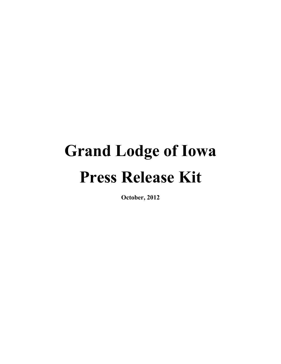# **Grand Lodge of Iowa Press Release Kit**

**October, 2012**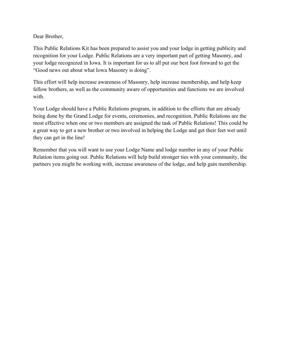Dear Brother,

This Public Relations Kit has been prepared to assist you and your lodge in getting publicity and recognition for your Lodge. Public Relations are a very important part of getting Masonry, and your lodge recognized in Iowa. It is important for us to all put our best foot forward to get the "Good news out about what Iowa Masonry is doing".

This effort will help increase awareness of Masonry, help increase membership, and help keep fellow brothers, as well as the community aware of opportunities and functions we are involved with.

Your Lodge should have a Public Relations program, in addition to the efforts that are already being done by the Grand Lodge for events, ceremonies, and recognition. Public Relations are the most effective when one or two members are assigned the task of Public Relations! This could be a great way to get a new brother or two involved in helping the Lodge and get their feet wet until they can get in the line!

Remember that you will want to use your Lodge Name and lodge number in any of your Public Relation items going out. Public Relations will help build stronger ties with your community, the partners you might be working with, increase awareness of the lodge, and help gain membership.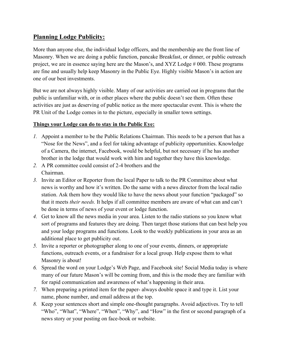# **Planning Lodge Publicity:**

More than anyone else, the individual lodge officers, and the membership are the front line of Masonry. When we are doing a public function, pancake Breakfast, or dinner, or public outreach project, we are in essence saying here are the Mason's, and XYZ Lodge # 000. These programs are fine and usually help keep Masonry in the Public Eye. Highly visible Mason's in action are one of our best investments.

But we are not always highly visible. Many of our activities are carried out in programs that the public is unfamiliar with, or in other places where the public doesn't see them. Often these activities are just as deserving of public notice as the more spectacular event. This is where the PR Unit of the Lodge comes in to the picture, especially in smaller town settings.

### **Things your Lodge can do to stay in the Public Eye:**

- *1.* Appoint a member to be the Public Relations Chairman. This needs to be a person that has a "Nose for the News", and a feel for taking advantage of publicity opportunities. Knowledge of a Camera, the internet, Facebook, would be helpful, but not necessary if he has another brother in the lodge that would work with him and together they have this knowledge.
- *2.* A PR committee could consist of 2-4 brothers and the Chairman.
- *3.* Invite an Editor or Reporter from the local Paper to talk to the PR Committee about what news is worthy and how it's written. Do the same with a news director from the local radio station. Ask them how they would like to have the news about your function "packaged" so that it meets *their needs.* It helps if all committee members are aware of what can and can't be done in terms of news of your event or lodge function.
- *4.* Get to know all the news media in your area. Listen to the radio stations so you know what sort of programs and features they are doing. Then target those stations that can best help you and your lodge programs and functions. Look to the weekly publications in your area as an additional place to get publicity out.
- *5.* Invite a reporter or photographer along to one of your events, dinners, or appropriate functions, outreach events, or a fundraiser for a local group. Help expose them to what Masonry is about!
- *6.* Spread the word on your Lodge's Web Page, and Facebook site! Social Media today is where many of our future Mason's will be coming from, and this is the mode they are familiar with for rapid communication and awareness of what's happening in their area.
- *7.* When preparing a printed item for the paper- always double space it and type it. List your name, phone number, and email address at the top.
- *8.* Keep your sentences short and simple one-thought paragraphs. Avoid adjectives. Try to tell "Who", "What", "Where", "When", "Why", and "How" in the first or second paragraph of a news story or your posting on face-book or website.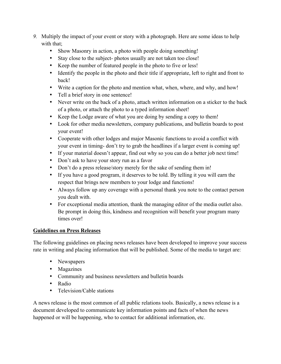- *9.* Multiply the impact of your event or story with a photograph. Here are some ideas to help with that:
	- Show Masonry in action, a photo with people doing something!
	- Stay close to the subject- photos usually are not taken too close!
	- Keep the number of featured people in the photo to five or less!
	- Identify the people in the photo and their title if appropriate, left to right and front to back!
	- Write a caption for the photo and mention what, when, where, and why, and how!
	- Tell a brief story in one sentence!
	- Never write on the back of a photo, attach written information on a sticker to the back of a photo, or attach the photo to a typed information sheet!
	- Keep the Lodge aware of what you are doing by sending a copy to them!
	- Look for other media newsletters, company publications, and bulletin boards to post your event!
	- Cooperate with other lodges and major Masonic functions to avoid a conflict with your event in timing- don't try to grab the headlines if a larger event is coming up!
	- If your material doesn't appear, find out why so you can do a better job next time!
	- Don't ask to have your story run as a favor
	- Don't do a press release/story merely for the sake of sending them in!
	- If you have a good program, it deserves to be told. By telling it you will earn the respect that brings new members to your lodge and functions!
	- Always follow up any coverage with a personal thank you note to the contact person you dealt with.
	- For exceptional media attention, thank the managing editor of the media outlet also. Be prompt in doing this, kindness and recognition will benefit your program many times over!

## **Guidelines on Press Releases**

The following guidelines on placing news releases have been developed to improve your success rate in writing and placing information that will be published. Some of the media to target are:

- Newspapers
- Magazines
- Community and business newsletters and bulletin boards
- Radio
- Television/Cable stations

A news release is the most common of all public relations tools. Basically, a news release is a document developed to communicate key information points and facts of when the news happened or will be happening, who to contact for additional information, etc.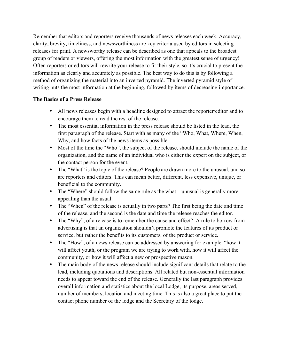Remember that editors and reporters receive thousands of news releases each week. Accuracy, clarity, brevity, timeliness, and newsworthiness are key criteria used by editors in selecting releases for print. A newsworthy release can be described as one that appeals to the broadest group of readers or viewers, offering the most information with the greatest sense of urgency! Often reporters or editors will rewrite your release to fit their style, so it's crucial to present the information as clearly and accurately as possible. The best way to do this is by following a method of organizing the material into an inverted pyramid. The inverted pyramid style of writing puts the most information at the beginning, followed by items of decreasing importance.

### **The Basics of a Press Release**

- All news releases begin with a headline designed to attract the reporter/editor and to encourage them to read the rest of the release.
- The most essential information in the press release should be listed in the lead, the first paragraph of the release. Start with as many of the "Who, What, Where, When, Why, and how facts of the news items as possible.
- Most of the time the "Who", the subject of the release, should include the name of the organization, and the name of an individual who is either the expert on the subject, or the contact person for the event.
- The "What" is the topic of the release? People are drawn more to the unusual, and so are reporters and editors. This can mean better, different, less expensive, unique, or beneficial to the community.
- The "Where" should follow the same rule as the what unusual is generally more appealing than the usual.
- The "When" of the release is actually in two parts? The first being the date and time of the release, and the second is the date and time the release reaches the editor.
- The "Why", of a release is to remember the cause and effect? A rule to borrow from advertising is that an organization shouldn't promote the features of its product or service, but rather the benefits to its customers, of the product or service.
- The "How", of a news release can be addressed by answering for example, "how it will affect youth, or the program we are trying to work with, how it will affect the community, or how it will affect a new or prospective mason.
- The main body of the news release should include significant details that relate to the lead, including quotations and descriptions. All related but non-essential information needs to appear toward the end of the release. Generally the last paragraph provides overall information and statistics about the local Lodge, its purpose, areas served, number of members, location and meeting time. This is also a great place to put the contact phone number of the lodge and the Secretary of the lodge.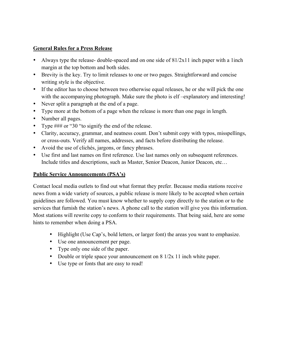## **General Rules for a Press Release**

- Always type the release- double-spaced and on one side of 81/2x11 inch paper with a 1inch margin at the top bottom and both sides.
- Brevity is the key. Try to limit releases to one or two pages. Straightforward and concise writing style is the objective.
- If the editor has to choose between two otherwise equal releases, he or she will pick the one with the accompanying photograph. Make sure the photo is elf-explanatory and interesting!
- Never split a paragraph at the end of a page.
- Type more at the bottom of a page when the release is more than one page in length.
- Number all pages.
- Type ### or "30 "to signify the end of the release.
- Clarity, accuracy, grammar, and neatness count. Don't submit copy with typos, misspellings, or cross-outs. Verify all names, addresses, and facts before distributing the release.
- Avoid the use of clichés, jargons, or fancy phrases.
- Use first and last names on first reference. Use last names only on subsequent references. Include titles and descriptions, such as Master, Senior Deacon, Junior Deacon, etc…

### **Public Service Announcements (PSA's)**

Contact local media outlets to find out what format they prefer. Because media stations receive news from a wide variety of sources, a public release is more likely to be accepted when certain guidelines are followed. You must know whether to supply copy directly to the station or to the services that furnish the station's news. A phone call to the station will give you this information. Most stations will rewrite copy to conform to their requirements. That being said, here are some hints to remember when doing a PSA.

- Highlight (Use Cap's, bold letters, or larger font) the areas you want to emphasize.
- Use one announcement per page.
- Type only one side of the paper.
- Double or triple space your announcement on 8 1/2x 11 inch white paper.
- Use type or fonts that are easy to read!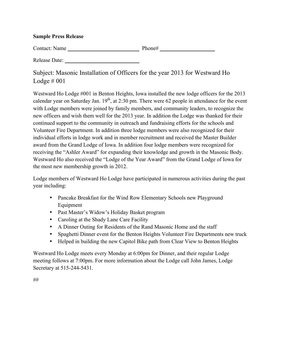#### **Sample Press Release**

Contact: Name \_\_\_\_\_\_\_\_\_\_\_\_\_\_\_\_\_\_\_\_\_\_\_\_\_\_ Phone# \_\_\_\_\_\_\_\_\_\_\_\_\_\_\_\_\_\_\_\_

Release Date:

Subject: Masonic Installation of Officers for the year 2013 for Westward Ho Lodge  $\#001$ 

Westward Ho Lodge #001 in Benton Heights, Iowa installed the new lodge officers for the 2013 calendar year on Saturday Jan.  $19<sup>th</sup>$ , at 2:30 pm. There were 62 people in attendance for the event with Lodge members were joined by family members, and community leaders, to recognize the new officers and wish them well for the 2013 year. In addition the Lodge was thanked for their continued support to the community in outreach and fundraising efforts for the schools and Volunteer Fire Department. In addition three lodge members were also recognized for their individual efforts in lodge work and in member recruitment and received the Master Builder award from the Grand Lodge of Iowa. In addition four lodge members were recognized for receiving the "Ashler Award" for expanding their knowledge and growth in the Masonic Body. Westward Ho also received the "Lodge of the Year Award" from the Grand Lodge of Iowa for the most new membership growth in 2012.

Lodge members of Westward Ho Lodge have participated in numerous activities during the past year including:

- Pancake Breakfast for the Wind Row Elementary Schools new Playground Equipment
- Past Master's Widow's Holiday Basket program
- Caroling at the Shady Lane Care Facility
- A Dinner Outing for Residents of the Rand Masonic Home and the staff
- Spaghetti Dinner event for the Benton Heights Volunteer Fire Departments new truck
- Helped in building the new Capitol Bike path from Clear View to Benton Heights

Westward Ho Lodge meets every Monday at 6:00pm for Dinner, and their regular Lodge meeting follows at 7:00pm. For more information about the Lodge call John James, Lodge Secretary at 515-244-5431.

##